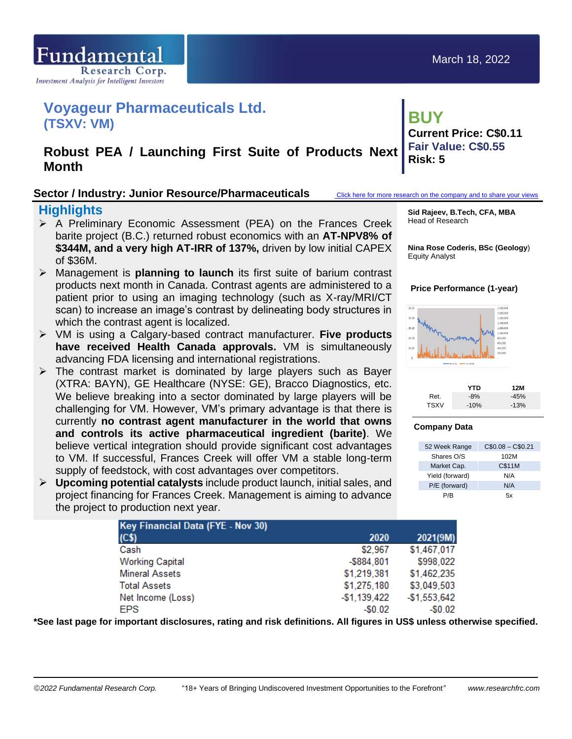

# **Voyageur Pharmaceuticals Ltd. (TSXV: VM)**

## **Robust PEA / Launching First Suite of Products Next Month**

### **Sector / Industry: Junior Resource/Pharmaceuticals** [Click here for more research on the company and to share your views](https://www.researchfrc.com/company/voyageur/)

### **Highlights**

- ➢ A Preliminary Economic Assessment (PEA) on the Frances Creek barite project (B.C.) returned robust economics with an **AT-NPV8% of \$344M, and a very high AT-IRR of 137%,** driven by low initial CAPEX of \$36M.
- ➢ Management is **planning to launch** its first suite of barium contrast products next month in Canada. Contrast agents are administered to a patient prior to using an imaging technology (such as X-ray/MRI/CT scan) to increase an image's contrast by delineating body structures in which the contrast agent is localized.
- ➢ VM is using a Calgary-based contract manufacturer. **Five products have received Health Canada approvals.** VM is simultaneously advancing FDA licensing and international registrations.
- $\triangleright$  The contrast market is dominated by large players such as Bayer (XTRA: BAYN), GE Healthcare (NYSE: GE), Bracco Diagnostics, etc. We believe breaking into a sector dominated by large players will be challenging for VM. However, VM's primary advantage is that there is currently **no contrast agent manufacturer in the world that owns and controls its active pharmaceutical ingredient (barite)**. We believe vertical integration should provide significant cost advantages to VM. If successful, Frances Creek will offer VM a stable long-term supply of feedstock, with cost advantages over competitors.
- ➢ **Upcoming potential catalysts** include product launch, initial sales, and project financing for Frances Creek. Management is aiming to advance the project to production next year.

**Sid Rajeev, B.Tech, CFA, MBA** Head of Research

**Nina Rose Coderis, BSc (Geology**) Equity Analyst

### **Price Performance (1-year)**



|             | YTD    | 12M    |
|-------------|--------|--------|
| Ret.        | $-8\%$ | $-45%$ |
| <b>TSXV</b> | $-10%$ | $-13%$ |

### **Company Data**

| 52 Week Range   | $C$0.08 - C$0.21$ |
|-----------------|-------------------|
| Shares O/S      | 102M              |
| Market Cap.     | C\$11M            |
| Yield (forward) | N/A               |
| P/E (forward)   | N/A               |
| P/B             | 5x                |

| Key Financial Data (FYE - Nov 30) |               |               |
|-----------------------------------|---------------|---------------|
| (C <sub>5</sub> )                 | 2020          | 2021(9M)      |
| Cash                              | \$2,967       | \$1,467,017   |
| <b>Working Capital</b>            | $-$ \$884,801 | \$998,022     |
| <b>Mineral Assets</b>             | \$1,219,381   | \$1,462,235   |
| <b>Total Assets</b>               | \$1,275,180   | \$3,049,503   |
| Net Income (Loss)                 | $-$1,139,422$ | $-$1,553,642$ |
| <b>EPS</b>                        | $-50.02$      | $-50.02$      |

**\*See last page for important disclosures, rating and risk definitions. All figures in US\$ unless otherwise specified.**

**BUY Current Price: C\$0.11 Fair Value: C\$0.55 Risk: 5**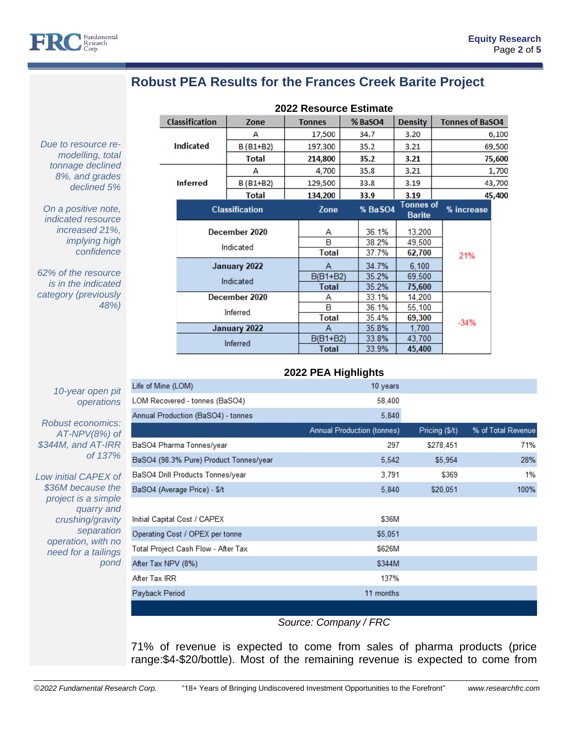

#### **Robust PEA Results for the Frances Creek Barite Project**  $m$   $\sim$  2003  $m$  2005 $m$

*Due to resource remodelling, total tonnage declined 8%, and grades declined 5%*

*On a positive note, indicated resource increased 21%, implying high confidence*

*62% of the resource is in the indicated category (previously 48%)* 

| <b>2022 Resource Estimate</b> |                            |              |        |               |        |         |                                   |  |                        |        |
|-------------------------------|----------------------------|--------------|--------|---------------|--------|---------|-----------------------------------|--|------------------------|--------|
|                               | <b>Classification</b>      | Zone         |        | <b>Tonnes</b> |        | % BaSO4 | <b>Density</b>                    |  | <b>Tonnes of BaSO4</b> |        |
|                               |                            | А            |        | 17,500        |        | 34.7    | 3.20                              |  | 6,100                  |        |
|                               | <b>Indicated</b>           | $B(B1+B2)$   |        | 197,300       |        | 35.2    | 3.21                              |  | 69,500                 |        |
|                               |                            | <b>Total</b> |        | 214,800       |        | 35.2    | 3.21                              |  |                        | 75,600 |
|                               |                            | A            |        | 4,700         |        | 35.8    | 3.21                              |  | 1,700                  |        |
|                               | <b>Inferred</b>            | B (B1+B2)    |        | 129,500       |        | 33.8    | 3.19                              |  |                        | 43,700 |
|                               |                            | <b>Total</b> |        | 134,200       |        | 33.9    | 3.19                              |  |                        | 45,400 |
|                               | <b>Classification</b>      |              |        | Zone          |        | % BaSO4 | <b>Tonnes of</b><br><b>Barite</b> |  | % increase             |        |
|                               | December 2020<br>Indicated |              | Α<br>B |               | 36.1%  | 13,200  |                                   |  |                        |        |
|                               |                            |              |        |               |        | 38.2%   | 49.500                            |  |                        |        |
|                               |                            |              |        | Total         |        | 37.7%   | 62,700                            |  | 21%                    |        |
|                               | January 2022               |              | A      |               | 34.7%  | 6.100   |                                   |  |                        |        |
|                               | Indicated                  |              |        | $B(B1+B2)$    | 35.2%  |         | 69.500                            |  |                        |        |
|                               |                            |              |        | <b>Total</b>  |        | 35.2%   | 75,600                            |  |                        |        |
|                               | December 2020              |              | Α      |               | 33.1%  | 14.200  |                                   |  |                        |        |
|                               | Inferred                   |              | B      |               | 36.1%  | 55,100  |                                   |  |                        |        |
|                               |                            |              |        | Total         |        | 35.4%   | 69,300                            |  | $-34%$                 |        |
|                               | January 2022               |              | Α      |               | 35.8%  | 1.700   |                                   |  |                        |        |
| Inferred                      |                            | $B(B1+B2)$   |        | 33.8%         | 43,700 |         |                                   |  |                        |        |
|                               |                            |              | Total  |               | 33.9%  | 45,400  |                                   |  |                        |        |

### *10-year open pit operations*

*Robust economics: AT-NPV(8%) of \$344M, and AT-IRR of 137%*

*Low initial CAPEX of \$36M because the project is a simple quarry and crushing/gravity separation operation, with no need for a tailings pond*

**2022 PEA Highlights**

| Life of Mine (LOM)                     | 10 years                          |                |                    |
|----------------------------------------|-----------------------------------|----------------|--------------------|
| LOM Recovered - tonnes (BaSO4)         | 58,400                            |                |                    |
| Annual Production (BaSO4) - tonnes     | 5,840                             |                |                    |
|                                        | <b>Annual Production (tonnes)</b> | Pricing (\$/t) | % of Total Revenue |
| BaSO4 Pharma Tonnes/year               | 297                               | \$278,451      | 71%                |
| BaSO4 (98.3% Pure) Product Tonnes/year | 5,542                             | \$5,954        | 28%                |
| BaSO4 Drill Products Tonnes/year       | 3.791                             | \$369          | 1%                 |
| BaSO4 (Average Price) - \$/t           | 5,840                             | \$20,051       | 100%               |
|                                        |                                   |                |                    |
| Initial Capital Cost / CAPEX           | \$36M                             |                |                    |
| Operating Cost / OPEX per tonne        | \$5,051                           |                |                    |
| Total Project Cash Flow - After Tax    | \$626M                            |                |                    |
| After Tax NPV (8%)                     | \$344M                            |                |                    |
| After Tax IRR                          | 137%                              |                |                    |
| Payback Period                         | 11 months                         |                |                    |
|                                        |                                   |                |                    |

### *Source: Company / FRC*

71% of revenue is expected to come from sales of pharma products (price range:\$4-\$20/bottle). Most of the remaining revenue is expected to come from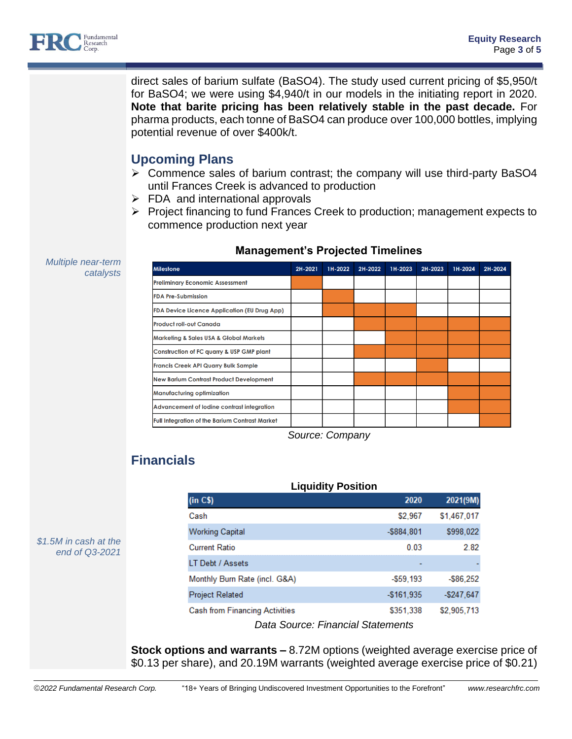

*Multiple near-term* 

*catalysts*

direct sales of barium sulfate (BaSO4). The study used current pricing of \$5,950/t for BaSO4; we were using \$4,940/t in our models in the initiating report in 2020. **Note that barite pricing has been relatively stable in the past decade.** For pharma products, each tonne of BaSO4 can produce over 100,000 bottles, implying potential revenue of over \$400k/t.

## **Upcoming Plans**

- ➢ Commence sales of barium contrast; the company will use third-party BaSO4 until Frances Creek is advanced to production
- $\triangleright$  FDA and international approvals
- ➢ Project financing to fund Frances Creek to production; management expects to commence production next year

| <b>Milestone</b>                                      | 2H-2021 | 1H-2022 | 2H-2022 | 1H-2023 | 2H-2023 | 1H-2024 | 2H-2024 |
|-------------------------------------------------------|---------|---------|---------|---------|---------|---------|---------|
| <b>Preliminary Economic Assessment</b>                |         |         |         |         |         |         |         |
| <b>FDA Pre-Submission</b>                             |         |         |         |         |         |         |         |
| <b>FDA Device Licence Application (EU Drug App)</b>   |         |         |         |         |         |         |         |
| <b>Product roll-out Canada</b>                        |         |         |         |         |         |         |         |
| <b>Marketing &amp; Sales USA &amp; Global Markets</b> |         |         |         |         |         |         |         |
| Construction of FC quarry & USP GMP plant             |         |         |         |         |         |         |         |
| <b>Francis Creek API Quarry Bulk Sample</b>           |         |         |         |         |         |         |         |
| <b>New Barium Contrast Product Development</b>        |         |         |         |         |         |         |         |
| <b>Manufacturing optimization</b>                     |         |         |         |         |         |         |         |
| Advancement of lodine contrast integration            |         |         |         |         |         |         |         |
| <b>Full Integration of the Barium Contrast Market</b> |         |         |         |         |         |         |         |

## **Management's Projected Timelines**

*Source: Company*

**Liquidity Position**

# **Financials**

| <b>Liquidity Position</b>             |               |             |  |  |  |  |  |
|---------------------------------------|---------------|-------------|--|--|--|--|--|
| (in C\$)                              | 2020          | 2021(9M)    |  |  |  |  |  |
| Cash                                  | \$2,967       | \$1,467,017 |  |  |  |  |  |
| <b>Working Capital</b>                | $-$ \$884,801 | \$998,022   |  |  |  |  |  |
| <b>Current Ratio</b>                  | 0.03          | 2.82        |  |  |  |  |  |
| LT Debt / Assets                      |               |             |  |  |  |  |  |
| Monthly Burn Rate (incl. G&A)         | $-559.193$    | -\$86.252   |  |  |  |  |  |
| <b>Project Related</b>                | $-$161.935$   | $-$247.647$ |  |  |  |  |  |
| <b>Cash from Financing Activities</b> | \$351,338     | \$2,905,713 |  |  |  |  |  |
|                                       |               |             |  |  |  |  |  |

*Data Source: Financial Statements*

**Stock options and warrants –** 8.72M options (weighted average exercise price of \$0.13 per share), and 20.19M warrants (weighted average exercise price of \$0.21)

*\$1.5M in cash at the end of Q3-2021*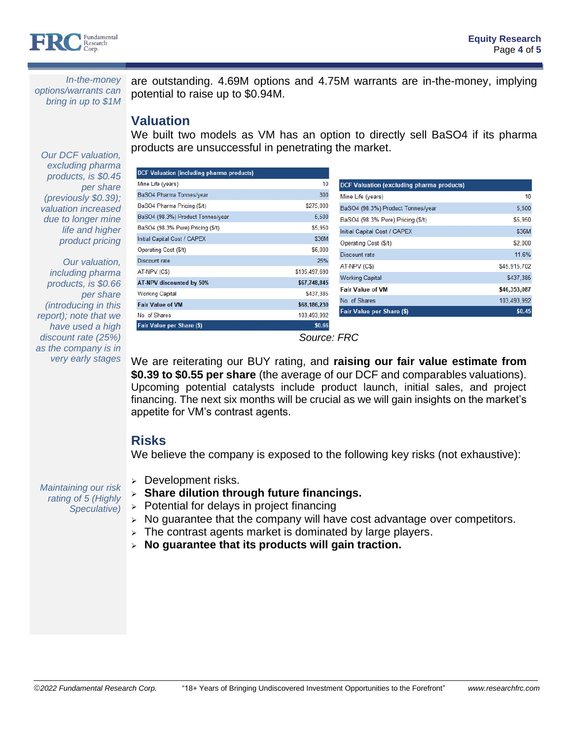

*In-the-money options/warrants can bring in up to \$1M*

*Our DCF valuation,* 

are outstanding. 4.69M options and 4.75M warrants are in-the-money, implying potential to raise up to \$0.94M.

## **Valuation**

We built two models as VM has an option to directly sell BaSO4 if its pharma products are unsuccessful in penetrating the market.

*excluding pharma*  **DCF Valuation (including pharma products)** *products, is \$0.45*  Mine Life (vears) 10 **DCF Valuation (excluding pharma products)** *per share*  BaSO4 Pharma Tonnes/year 300 Mine Life (years) 10 *(previously \$0.39);*  BaSO4 Pharma Pricing (\$/t) \$275,000 BaSO4 (98.3%) Product Tonnes/year 5.500 *valuation increased*  BaSO4 (98.3%) Product Tonnes/year 5,500 *due to longer mine*  BaSO4 (98.3% Pure) Pricing (\$/t) \$5,950 BaSO4 (98.3% Pure) Pricing (\$/t) \$5,950 *life and higher*  Initial Capital Cost / CAPEX \$36M Initial Capital Cost / CAPEX \$36M *product pricing* \$2,000 Operating Cost (\$/t) Operating Cost (\$/t) \$6,000 Discount rate 11.6% Discount rate 25% *Our valuation,* AT-NPV (C\$) \$45,915,702 AT-NPV (C\$) \$135,497,690 *including pharma*  **Working Capital** \$437,385 *products, is \$0.66*  AT-NPV discounted by 50% \$67,748,845 **Fair Value of VM** \$46.353.087 **Working Capital** \$437.385 *per share*  No. of Shares 103,493,992 \$68,186,230 *(introducing in this*  **Fair Value of VM** Fair Value per Share (\$)  $$0.45$ No. of Shares 103,493,992 *report); note that we*  Fair Value per Share (\$) \$0.66 *have used a high discount rate (25%)* 

*Source: FRC*

We are reiterating our BUY rating, and **raising our fair value estimate from \$0.39 to \$0.55 per share** (the average of our DCF and comparables valuations). Upcoming potential catalysts include product launch, initial sales, and project financing. The next six months will be crucial as we will gain insights on the market's appetite for VM's contrast agents.

## **Risks**

We believe the company is exposed to the following key risks (not exhaustive):

*Maintaining our risk rating of 5 (Highly Speculative)*

*as the company is in very early stages*

- ➢ Development risks.
- ➢ **Share dilution through future financings.**
- $\geq$  Potential for delays in project financing
- $>$  No guarantee that the company will have cost advantage over competitors.
- ➢ The contrast agents market is dominated by large players.
- ➢ **No guarantee that its products will gain traction.**